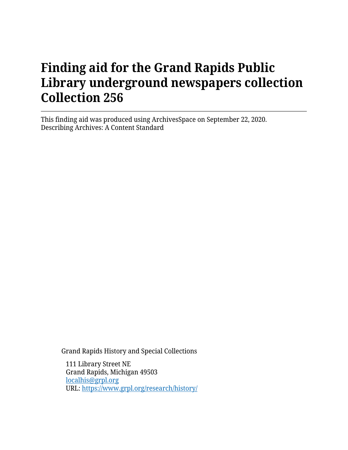# **Finding aid for the Grand Rapids Public Library underground newspapers collection Collection 256**

This finding aid was produced using ArchivesSpace on September 22, 2020. Describing Archives: A Content Standard

Grand Rapids History and Special Collections

111 Library Street NE Grand Rapids, Michigan 49503 [localhis@grpl.org](mailto:localhis@grpl.org) URL:<https://www.grpl.org/research/history/>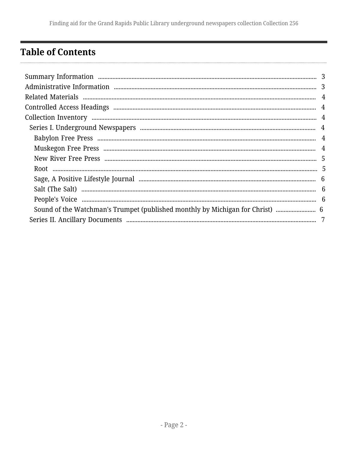## <span id="page-1-0"></span>**Table of Contents**

| Sound of the Watchman's Trumpet (published monthly by Michigan for Christ) |  |
|----------------------------------------------------------------------------|--|
|                                                                            |  |
|                                                                            |  |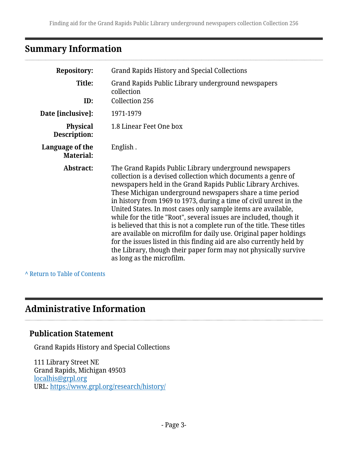# <span id="page-2-0"></span>**Summary Information**

| <b>Repository:</b>                  | <b>Grand Rapids History and Special Collections</b>                                                                                                                                                                                                                                                                                                                                                                                                                                                                                                                                                                                                                                                                                                                                      |
|-------------------------------------|------------------------------------------------------------------------------------------------------------------------------------------------------------------------------------------------------------------------------------------------------------------------------------------------------------------------------------------------------------------------------------------------------------------------------------------------------------------------------------------------------------------------------------------------------------------------------------------------------------------------------------------------------------------------------------------------------------------------------------------------------------------------------------------|
| Title:                              | Grand Rapids Public Library underground newspapers<br>collection                                                                                                                                                                                                                                                                                                                                                                                                                                                                                                                                                                                                                                                                                                                         |
| ID:                                 | Collection 256                                                                                                                                                                                                                                                                                                                                                                                                                                                                                                                                                                                                                                                                                                                                                                           |
| Date [inclusive]:                   | 1971-1979                                                                                                                                                                                                                                                                                                                                                                                                                                                                                                                                                                                                                                                                                                                                                                                |
| <b>Physical</b><br>Description:     | 1.8 Linear Feet One box                                                                                                                                                                                                                                                                                                                                                                                                                                                                                                                                                                                                                                                                                                                                                                  |
| Language of the<br><b>Material:</b> | English.                                                                                                                                                                                                                                                                                                                                                                                                                                                                                                                                                                                                                                                                                                                                                                                 |
| Abstract:                           | The Grand Rapids Public Library underground newspapers<br>collection is a devised collection which documents a genre of<br>newspapers held in the Grand Rapids Public Library Archives.<br>These Michigan underground newspapers share a time period<br>in history from 1969 to 1973, during a time of civil unrest in the<br>United States. In most cases only sample items are available,<br>while for the title "Root", several issues are included, though it<br>is believed that this is not a complete run of the title. These titles<br>are available on microfilm for daily use. Original paper holdings<br>for the issues listed in this finding aid are also currently held by<br>the Library, though their paper form may not physically survive<br>as long as the microfilm. |

#### **^** [Return to Table of Contents](#page-1-0)

### <span id="page-2-1"></span>**Administrative Information**

#### **Publication Statement**

Grand Rapids History and Special Collections

111 Library Street NE Grand Rapids, Michigan 49503 [localhis@grpl.org](mailto:localhis@grpl.org) URL:<https://www.grpl.org/research/history/>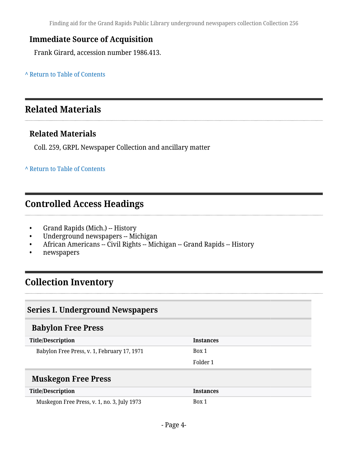Finding aid for the Grand Rapids Public Library underground newspapers collection Collection 256

#### **Immediate Source of Acquisition**

Frank Girard, accession number 1986.413.

**^** [Return to Table of Contents](#page-1-0)

### <span id="page-3-0"></span>**Related Materials**

### **Related Materials**

Coll. 259, GRPL Newspaper Collection and ancillary matter

#### **^** [Return to Table of Contents](#page-1-0)

### <span id="page-3-1"></span>**Controlled Access Headings**

- Grand Rapids (Mich.) -- History
- Underground newspapers -- Michigan
- African Americans -- Civil Rights -- Michigan -- Grand Rapids -- History
- newspapers

### <span id="page-3-2"></span>**Collection Inventory**

#### <span id="page-3-3"></span>**Series I. Underground Newspapers**

### <span id="page-3-4"></span>**Babylon Free Press**

| <b>Title/Description</b>                    | Instances |
|---------------------------------------------|-----------|
| Babylon Free Press, v. 1, February 17, 1971 | Box 1     |
|                                             | Folder 1  |
|                                             |           |

#### <span id="page-3-5"></span>**Muskegon Free Press**

| <b>Title/Description</b>                    | Instances |
|---------------------------------------------|-----------|
| Muskegon Free Press, v. 1, no. 3, July 1973 | Box 1     |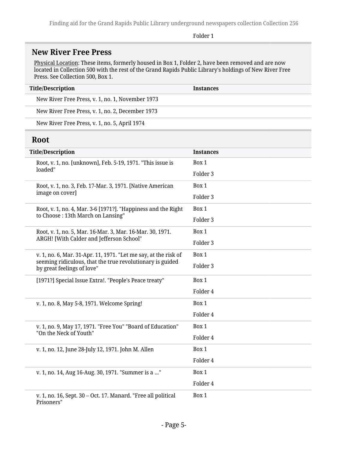Folder 1

### <span id="page-4-0"></span>**New River Free Press**

Physical Location: These items, formerly housed in Box 1, Folder 2, have been removed and are now located in Collection 500 with the rest of the Grand Rapids Public Library's holdings of New River Free Press. See Collection 500, Box 1.

| <b>Title/Description</b>                         | <b>Instances</b> |
|--------------------------------------------------|------------------|
| New River Free Press, v. 1, no. 1, November 1973 |                  |
| New River Free Press, v. 1, no. 2, December 1973 |                  |
| New River Free Press, v. 1, no. 5, April 1974    |                  |

### <span id="page-4-1"></span>**Root**

| <b>Title/Description</b>                                                                | <b>Instances</b> |
|-----------------------------------------------------------------------------------------|------------------|
| Root, v. 1, no. [unknown], Feb. 5-19, 1971. "This issue is<br>loaded"                   | Box 1            |
|                                                                                         | Folder 3         |
| Root, v. 1, no. 3, Feb. 17-Mar. 3, 1971. [Native American<br>image on cover]            | Box 1            |
|                                                                                         | Folder 3         |
| Root, v. 1, no. 4, Mar. 3-6 [1971?]. "Happiness and the Right                           | Box 1            |
| to Choose: 13th March on Lansing"                                                       | Folder 3         |
| Root, v. 1, no. 5, Mar. 16-Mar. 3, Mar. 16-Mar. 30, 1971.                               | Box 1            |
| ARGH! [With Calder and Jefferson School"                                                | Folder 3         |
| v. 1, no. 6, Mar. 31-Apr. 11, 1971. "Let me say, at the risk of                         | Box 1            |
| seeming ridiculous, that the true revolutionary is guided<br>by great feelings of love" | Folder 3         |
| [1971?] Special Issue Extra!. "People's Peace treaty"                                   | Box 1            |
|                                                                                         | Folder 4         |
| v. 1, no. 8, May 5-8, 1971. Welcome Spring!                                             | Box 1            |
|                                                                                         | Folder 4         |
| v. 1, no. 9, May 17, 1971. "Free You" "Board of Education"<br>"On the Neck of Youth"    | Box 1            |
|                                                                                         | Folder 4         |
| v. 1, no. 12, June 28-July 12, 1971. John M. Allen                                      | Box 1            |
|                                                                                         | Folder 4         |
| v. 1, no. 14, Aug 16-Aug. 30, 1971. "Summer is a "                                      | Box 1            |
|                                                                                         | Folder 4         |
| v. 1, no. 16, Sept. 30 - Oct. 17. Manard. "Free all political<br>Prisoners"             | Box 1            |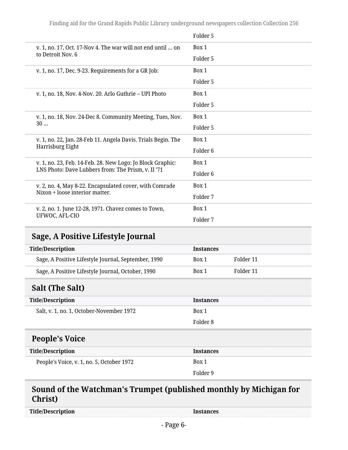Finding aid for the Grand Rapids Public Library underground newspapers collection Collection 256

|                                                                                                                  | Folder 5            |
|------------------------------------------------------------------------------------------------------------------|---------------------|
| v. 1, no. 17, Oct. 17-Nov 4. The war will not end until  on                                                      | Box 1               |
| to Detroit Nov. 6                                                                                                | Folder 5            |
| v. 1, no. 17, Dec. 9-23. Requirements for a GR Job:                                                              | Box 1               |
|                                                                                                                  | Folder 5            |
| v. 1, no. 18, Nov. 4-Nov. 20. Arlo Guthrie - UPI Photo                                                           | Box 1               |
|                                                                                                                  | Folder 5            |
| v. 1, no. 18, Nov. 24-Dec 8. Community Meeting, Tues, Nov.                                                       | Box 1               |
| 30                                                                                                               | Folder 5            |
| v. 1, no. 22, Jan. 28-Feb 11. Angela Davis. Trials Begin. The                                                    | Box 1               |
| Harrisburg Eight                                                                                                 | Folder <sub>6</sub> |
| v. 1, no. 23, Feb. 14-Feb. 28. New Logo: Jo Block Graphic:<br>LNS Photo: Dave Lubbers from: The Prism, v. II '71 | Box 1               |
|                                                                                                                  | Folder 6            |
| v. 2, no. 4, May 8-22. Encapsulated cover, with Comrade<br>Nixon + loose interior matter.                        | Box 1               |
|                                                                                                                  | Folder 7            |
| v. 2, no. 1. June 12-28, 1971. Chavez comes to Town,                                                             | Box 1               |
| UFWOC, AFL-CIO                                                                                                   | Folder <sub>7</sub> |

### <span id="page-5-0"></span>**Sage, A Positive Lifestyle Journal**

| Title/Description |                                                     | <b>Instances</b> |           |
|-------------------|-----------------------------------------------------|------------------|-----------|
|                   | Sage, A Positive Lifestyle Journal, September, 1990 | Box 1            | Folder 11 |
|                   | Sage, A Positive Lifestyle Journal, October, 1990   | Box 1            | Folder 11 |

### <span id="page-5-1"></span>**Salt (The Salt)**

<span id="page-5-2"></span>

| <b>Title/Description</b>                  | <b>Instances</b> |
|-------------------------------------------|------------------|
| Salt, v. 1, no. 1, October-November 1972  | Box 1            |
|                                           | Folder 8         |
| <b>People's Voice</b>                     |                  |
| <b>Title/Description</b>                  | <b>Instances</b> |
| People's Voice, v. 1, no. 5, October 1972 | Box 1            |
|                                           | Folder 9         |

### <span id="page-5-3"></span>**Sound of the Watchman's Trumpet (published monthly by Michigan for Christ)**

| <b>Title/Description</b> |
|--------------------------|
|--------------------------|

**Instances**